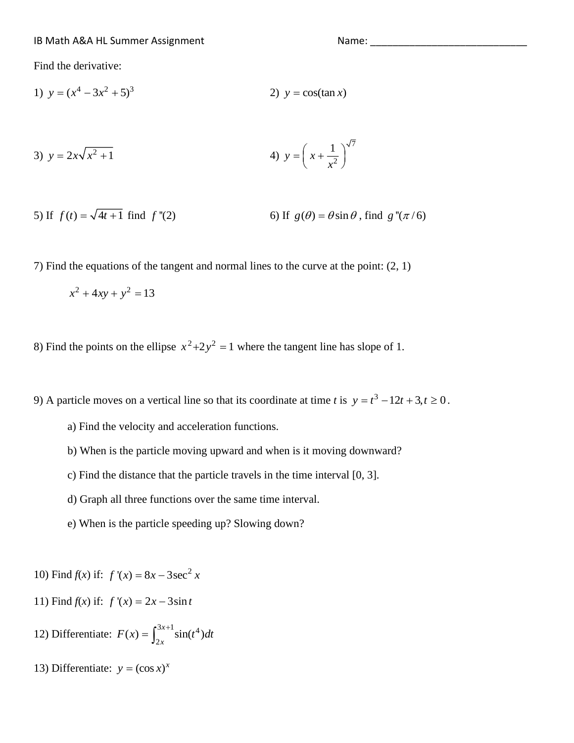Find the derivative:

1)  $y = (x^4 - 3x^2 + 5)^3$ 2)  $y = cos(tan x)$ 

3) 
$$
y = 2x\sqrt{x^2 + 1}
$$
  
4)  $y = \left(x + \frac{1}{x^2}\right)^{\sqrt{7}}$ 

5) If 
$$
f(t) = \sqrt{4t+1}
$$
 find  $f''(2)$   
6) If  $g(\theta) = \theta \sin \theta$ , find  $g''(\pi/6)$ 

7) Find the equations of the tangent and normal lines to the curve at the point: (2, 1)

$$
x^2 + 4xy + y^2 = 13
$$

8) Find the points on the ellipse  $x^2+2y^2=1$  where the tangent line has slope of 1.

9) A particle moves on a vertical line so that its coordinate at time *t* is  $y = t^3 - 12t + 3, t \ge 0$ .

- a) Find the velocity and acceleration functions.
- b) When is the particle moving upward and when is it moving downward?
- c) Find the distance that the particle travels in the time interval [0, 3].
- d) Graph all three functions over the same time interval.
- e) When is the particle speeding up? Slowing down?

10) Find  $f(x)$  if:  $f'(x) = 8x - 3\sec^2 x$ 

- 11) Find  $f(x)$  if:  $f'(x) = 2x 3\sin t$
- 12) Differentiate:  $F(x) = \int_{0}^{3x+1} \sin(t^4) dt$  $f(x) = \int_{2x}^{3x+1} \sin(t^4)$  $F(x) = \int_{2x}^{3x+1} \sin(t^4) dt$
- 13) Differentiate:  $y = (\cos x)^x$